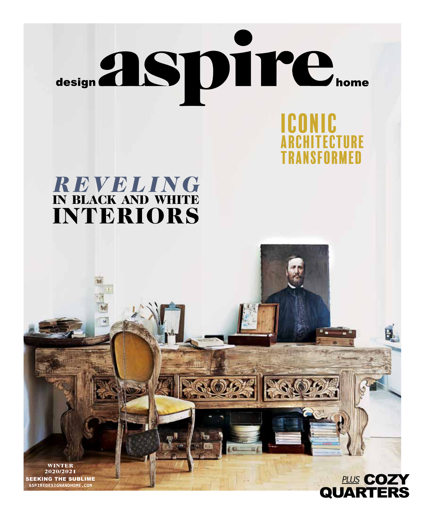

# *REVELING* IN BLACK AND WHITE INTERIORS





RANSFORMED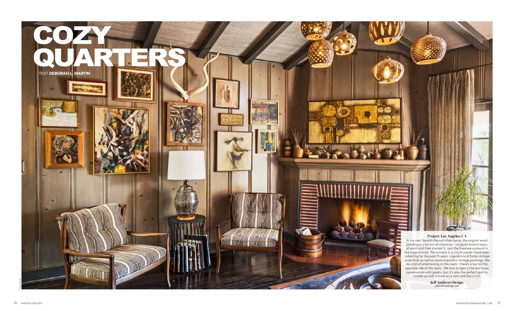

### **Project: Los Angeles, CA**

In my own Spanish Revival-style home, the original wood paneling is a bit out of character. I stripped several layers of paint and then stained it, and the fireplace surround is the original brick. The artwork is a mix of pieces I have been collecting for the past 15 years: a good mix of funky vintage store finds as well as more important vintage paintings. We do a lot of entertaining in this room – there's a bar on the opposite side of the room. We love to light a fire and enjoy conversation with guests, but it's also the perfect spot to cuddle up with a book on a rare cold day in LA.

**Jeff Andrews Design**  *jeffandrewsdesign.com*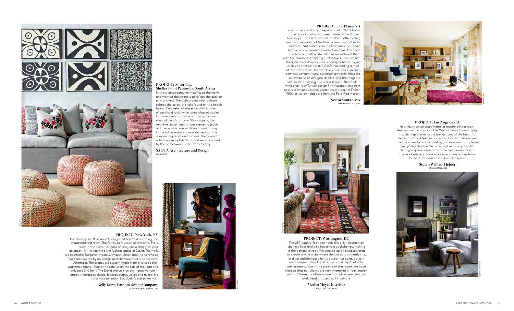

#### PROJECT: New York, NY

In a dead space that wasn't being used I created a seating and music listening room. The family now uses it all the time. Every room in the home has pops of uniqueness that grab your attention. In this room it's the fuchsia statue of David. The walls are painted in Benjamin Moore's Amazon Green and the hardwood floors are covered by an orange and charcoal wool area rug from Uttermost. The drapes are custom made from a tortoise shell patterned fabric. I found the cabinet on the side of the road and only paid \$40 for it! The David statue is an oxymoron wonder ancient, historical, classic, biblical, purple, velvet and naked. He grabs your attention but doesn't overpower you.

> Kelly Dunn, Fathom Design Company fathomdesigncompany.com

**PROJECT: Silver Bav,** Shelley Point Peninsula, South Africa In this sitting room, we maximized the views and wanted the interiors to reflect the outside environment. The sitting area color palette echoes the colors of shells found on the beach below. Concrete ceilings echo the textures of sand and rock, while open, glassed gables in the roof-ends provide a moving-picture show of clouds and sky. Sisal carpets, the tent-like thatch and timber elements (such as lime-washed oak walls and doors) bring in the softer natural fauna elements of the surrounding reeds and grasses. The geometric artworks are by Kris Ruhs, and were acquired by the homeowner on her trips to Italy.

**SAOTA Architecture and Design** saota.con



#### PROJECT: The Plains, VA

This was a renovation and expansion of a 1970's house in horse country, with great views of the Virginia landscape. The client wanted it to be another sitting area as an extension of the living room area, but more intimate. Not a library but a place where one could read or have a smaller conversation nook. The floors are American rift white oak, but we softened them with the Moroccan tribal rugs, set in layers, and we had the linen sheer drapery panels handpainted with gold circles by a textile artist in California, adding a modpattern in the room. The wife loves blue tones, so each room has different hues, but never to match. Here the Jonathan Adler sofa gets its blue, and the magenta color in the small rug adds color tension. The modern wing chair is by Turkish design firm Autoban, and next to it, sits a black Chinese garden stool. A pair of French 1950's artist low tables are from the Paris Flea Market.

> **Nestor Santa-Cruz** nestorsanta-cruz.con



#### PROJECT: Washington, DC

This 250-square-foot den holds the only television on the first floor and also has ample bookshelves, making it the perfect retreat. We opened up an enclosed area to create a little niche where the bar cart currently sits, and we satisfied our client's passion for color, pattern and antiques. The play of pattern and depth of color are representative of the palette of the house. We have noticed that our clients are very interested in "destination rooms." These are often smaller in scale where they can work, read or take a call in private.

> **Marika Meyer Interiors** meverinteriors.com



#### PROJECT: Los Angeles, CA

In a newly constructed home, a master sitting room feels warm and comfortable. Walnut flooring and a gray marble fireplace surround are just two of the beautiful details that add texture and visual interest. The owners use this room to read and relax, and as a sanctuary from two young children. We have had more requests for den-type spaces during this time. With everybody at home, clients who have more open-plan homes have found it necessary to find a quiet space.

**Studio William Hefner** williamhefner.com



ASPIREDESIGNANDHOME.COM 77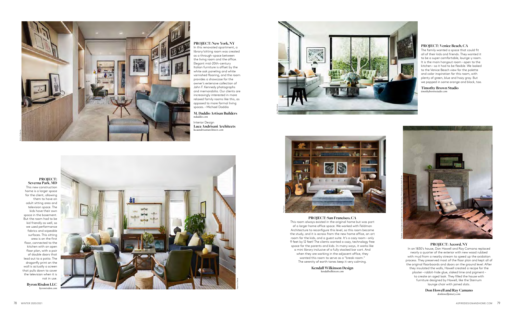#### **PROJECT: New York, NY**

In this renovated apartment, a library/sitting room was created as a through-space between the living room and the office. Elegant mid-20th-century Italian furniture is offset by the white oak paneling and white varnished flooring, and the room provides a showcase for the owner's extensive collection of John F. Kennedy photographs and memorabilia. Our clients are increasingly interested in more relaxed family rooms like this, as opposed to more formal living spaces. – Michael Daddio

**M. Daddio Artisan Builders**  *mdaddio.com*

Interior Design **Luca Andrisani Architects**  *lucaandrisaniarchitects.com*



This new construction home is a larger space for the client, allowing them to have an adult sitting area and television space. The kids have their own space in the basement. But the room had to be kid friendly as well, so we used performance fabrics and wipeable surfaces. This sitting area is on the first floor, connected to the kitchen with an open floor plan, with a pair of double doors that lead out to a patio. The dragonfly print on the wall is actually a screen that pulls down to cover the television when it is not in use.

**Byron Risdon LLC**  *byronrisdon.com*

#### **PROJECT: San Francisco, CA**



This room always existed in the original home but was part of a larger home office space. We worked with Feldman Architecture to reconfigure this level, so this room became the study, and it is across from the new home office, an art room for the kids, and a guest suite. It's a cozy room – only 9 feet by 12 feet! The clients wanted a cozy, technology free space for the parents and kids. In many ways, it works like a mini library inclusive of a fully stocked bar cart. And when they are working in the adjacent office, they wanted this room to serve as a "break-room." The serenity of earth tones keep it very calming.

> **Kendall Wilkinson Design**  *kendallwilkinson.com*

### **PROJECT: Venice Beach, CA**

The family wanted a space that could fit all of their kids and friends. They wanted it to be a super comfortable, lounge-y room. It is the main hangout room – open to the kitchen – so it had to be flexible. We looked to the Venice Beach view for the palette and color inspiration for this room, with plenty of green, blue and hazy gray. But we popped in some orange and black, too.

# **Timothy Brown Studio**

*timothybrownstudio.com*

#### **PROJECT: Accord, NY**

In an 1830's house, Don Howell and Ray Camano replaced nearly a quarter of the exterior with new wood rubbed with mud from a nearby stream to speed up the oxidation process. They preserved most of the floor plan and kept all of the original floorboards and doors on the ground level. After they insulated the walls, Howell created a recipe for the plaster – rabbit-hide glue, slaked lime and pigment – to create an aged look. They filled the house with furniture designed by Howell, like the Sternum lounge chair with joined slats.

> **Don Howell and Ray Camano**  *donhowelljoinery.com*